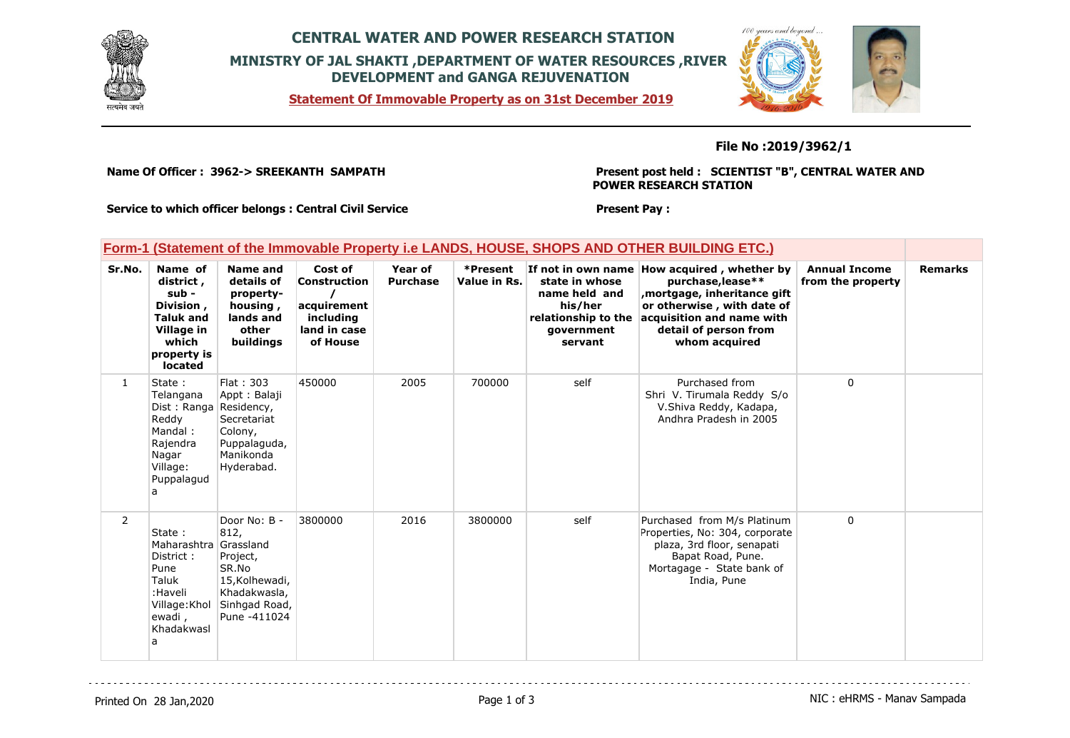

## **CENTRAL WATER AND POWER RESEARCH STATION MINISTRY OF JAL SHAKTI ,DEPARTMENT OF WATER RESOURCES ,RIVER DEVELOPMENT and GANGA REJUVENATION**

**Statement Of Immovable Property as on 31st December 2019**



## **File No :2019/3962/1**

**Name Of Officer : 3962-> SREEKANTH SAMPATH** 

**Present post held : SCIENTIST "B", CENTRAL WATER AND POWER RESEARCH STATION**

**Present Pay :** 

**Service to which officer belongs : Central Civil Service**

## **Form-1 (Statement of the Immovable Property i.e LANDS, HOUSE, SHOPS AND OTHER BUILDING ETC.)**

| Sr.No.         | Name of<br>district,<br>sub -<br>Division,<br><b>Taluk and</b><br>Village in<br>which<br>property is<br>located       | <b>Name and</b><br>details of<br>property-<br>housing,<br>lands and<br>other<br>buildings                                 | Cost of<br><b>Construction</b><br>acquirement<br>including<br>land in case<br>of House | Year of<br><b>Purchase</b> | *Present<br>Value in Rs. | state in whose<br>name held and<br>his/her<br>relationship to the<br>qovernment<br>servant | If not in own name How acquired, whether by<br>purchase, lease**<br>mortgage, inheritance gift<br>or otherwise, with date of<br>acquisition and name with<br>detail of person from<br>whom acquired | <b>Annual Income</b><br>from the property | <b>Remarks</b> |
|----------------|-----------------------------------------------------------------------------------------------------------------------|---------------------------------------------------------------------------------------------------------------------------|----------------------------------------------------------------------------------------|----------------------------|--------------------------|--------------------------------------------------------------------------------------------|-----------------------------------------------------------------------------------------------------------------------------------------------------------------------------------------------------|-------------------------------------------|----------------|
| $\mathbf{1}$   | State:<br>Telangana<br>Dist: Ranga Residency,<br>Reddy<br>Mandal:<br>Rajendra<br>Nagar<br>Village:<br>Puppalagud<br>a | <b>Flat: 303</b><br>Appt: Balaji<br>Secretariat<br>Colony,<br>Puppalaquda,<br>Manikonda<br>Hyderabad.                     | 450000                                                                                 | 2005                       | 700000                   | self                                                                                       | Purchased from<br>Shri V. Tirumala Reddy S/o<br>V.Shiva Reddy, Kadapa,<br>Andhra Pradesh in 2005                                                                                                    | $\Omega$                                  |                |
| $\overline{2}$ | State:<br>Maharashtra<br>District:<br>Pune<br>Taluk<br>:Haveli<br>Village: Khol<br>ewadi,<br>Khadakwasl<br>a          | Door No: B -<br>812,<br>Grassland<br>Project,<br>SR.No<br>15, Kolhewadi,<br>Khadakwasla,<br>Sinhgad Road,<br>Pune -411024 | 3800000                                                                                | 2016                       | 3800000                  | self                                                                                       | Purchased from M/s Platinum<br>Properties, No: 304, corporate<br>plaza, 3rd floor, senapati<br>Bapat Road, Pune.<br>Mortagage - State bank of<br>India, Pune                                        | $\Omega$                                  |                |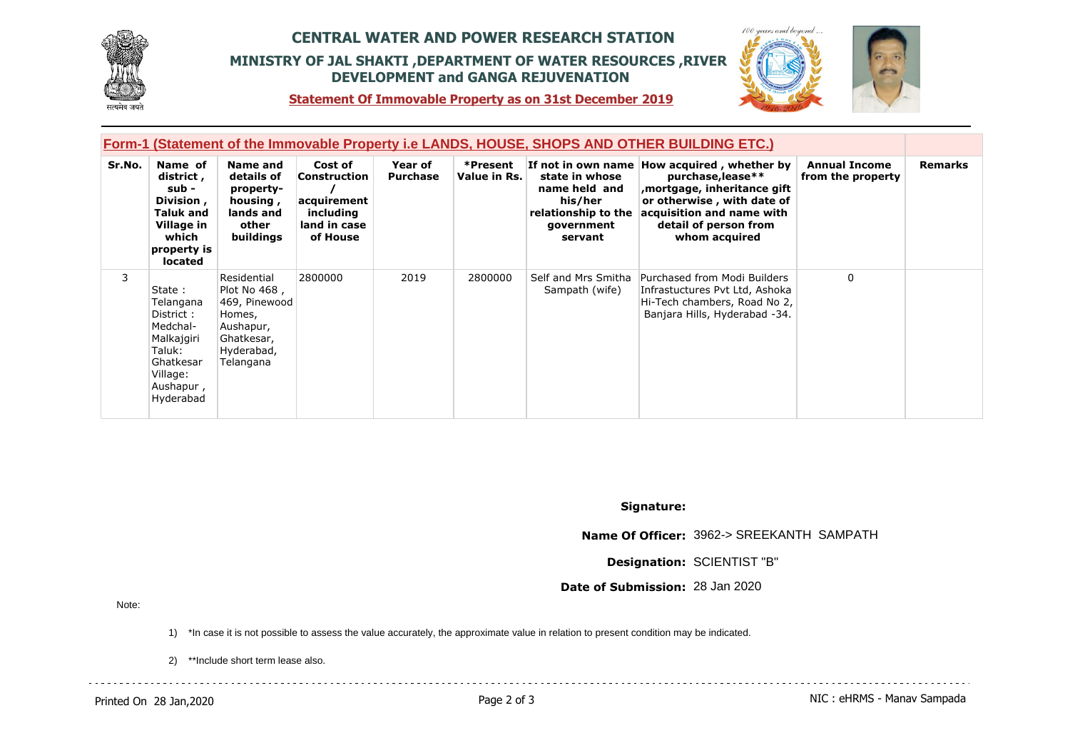

## **CENTRAL WATER AND POWER RESEARCH STATION MINISTRY OF JAL SHAKTI ,DEPARTMENT OF WATER RESOURCES ,RIVER DEVELOPMENT and GANGA REJUVENATION**



 $100$ 

**Statement Of Immovable Property as on 31st December 2019**

| Form-1 (Statement of the Immovable Property i.e LANDS, HOUSE, SHOPS AND OTHER BUILDING ETC.) |                                                                                                                         |                                                                                                              |                                                                                        |                            |                          |                                                                                            |                                                                                                                                                                                                     |                                           |                |
|----------------------------------------------------------------------------------------------|-------------------------------------------------------------------------------------------------------------------------|--------------------------------------------------------------------------------------------------------------|----------------------------------------------------------------------------------------|----------------------------|--------------------------|--------------------------------------------------------------------------------------------|-----------------------------------------------------------------------------------------------------------------------------------------------------------------------------------------------------|-------------------------------------------|----------------|
| Sr.No.                                                                                       | Name of<br>district,<br>sub -<br>Division,<br>Taluk and<br>Village in<br>which<br>property is<br>located                | Name and<br>details of<br>property-<br>housing,<br>lands and<br>other<br>buildings                           | Cost of<br><b>Construction</b><br>acquirement<br>including<br>land in case<br>of House | Year of<br><b>Purchase</b> | *Present<br>Value in Rs. | state in whose<br>name held and<br>his/her<br>relationship to the<br>government<br>servant | If not in own name How acquired, whether by<br>purchase, lease**<br>mortgage, inheritance gift<br>or otherwise, with date of<br>acquisition and name with<br>detail of person from<br>whom acquired | <b>Annual Income</b><br>from the property | <b>Remarks</b> |
| 3                                                                                            | State:<br>Telangana<br>District:<br>Medchal-<br>Malkajgiri<br>Taluk:<br>Ghatkesar<br>Village:<br>Aushapur,<br>Hyderabad | Residential<br>Plot No 468,<br>469, Pinewood<br>Homes,<br>Aushapur,<br>Ghatkesar,<br>Hyderabad,<br>Telangana | 2800000                                                                                | 2019                       | 2800000                  | Self and Mrs Smitha<br>Sampath (wife)                                                      | Purchased from Modi Builders<br>Infrastuctures Pvt Ltd, Ashoka<br>Hi-Tech chambers, Road No 2,<br>Banjara Hills, Hyderabad -34.                                                                     | $\mathbf{0}$                              |                |

**Signature:**

**Name Of Officer:** 3962-> SREEKANTH SAMPATH

**Designation:** SCIENTIST "B"

**Date of Submission:** 28 Jan 2020

Note:

1) \*In case it is not possible to assess the value accurately, the approximate value in relation to present condition may be indicated.

2) \*\*Include short term lease also.